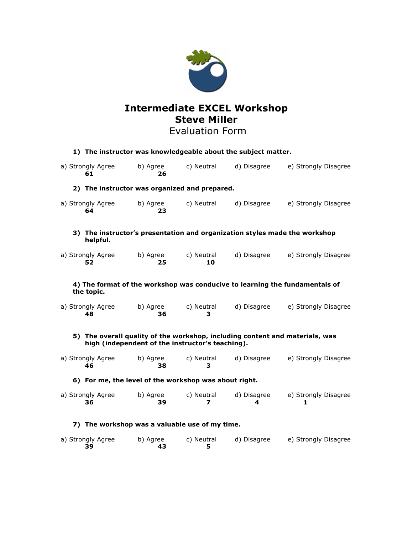

# **Intermediate EXCEL Workshop Steve Miller**

## Evaluation Form

| 1) The instructor was knowledgeable about the subject matter.                                                                    |                |                  |                  |                           |
|----------------------------------------------------------------------------------------------------------------------------------|----------------|------------------|------------------|---------------------------|
| a) Strongly Agree<br>61                                                                                                          | b) Agree<br>26 | c) Neutral       | d) Disagree      | e) Strongly Disagree      |
| 2) The instructor was organized and prepared.                                                                                    |                |                  |                  |                           |
| a) Strongly Agree<br>64                                                                                                          | b) Agree<br>23 | c) Neutral       | d) Disagree      | e) Strongly Disagree      |
| 3) The instructor's presentation and organization styles made the workshop<br>helpful.                                           |                |                  |                  |                           |
| a) Strongly Agree<br>52                                                                                                          | b) Agree<br>25 | c) Neutral<br>10 | d) Disagree      | e) Strongly Disagree      |
| 4) The format of the workshop was conducive to learning the fundamentals of<br>the topic.                                        |                |                  |                  |                           |
| a) Strongly Agree<br>48                                                                                                          | b) Agree<br>36 | c) Neutral<br>3  | d) Disagree      | e) Strongly Disagree      |
| 5) The overall quality of the workshop, including content and materials, was<br>high (independent of the instructor's teaching). |                |                  |                  |                           |
| a) Strongly Agree<br>46                                                                                                          | b) Agree<br>38 | c) Neutral<br>з  | d) Disagree      | e) Strongly Disagree      |
| 6) For me, the level of the workshop was about right.                                                                            |                |                  |                  |                           |
| a) Strongly Agree<br>36                                                                                                          | b) Agree<br>39 | c) Neutral<br>7  | d) Disagree<br>4 | e) Strongly Disagree<br>1 |
| 7) The workshop was a valuable use of my time.                                                                                   |                |                  |                  |                           |
| a) Strongly Agree<br>39                                                                                                          | b) Agree<br>43 | c) Neutral<br>5  | d) Disagree      | e) Strongly Disagree      |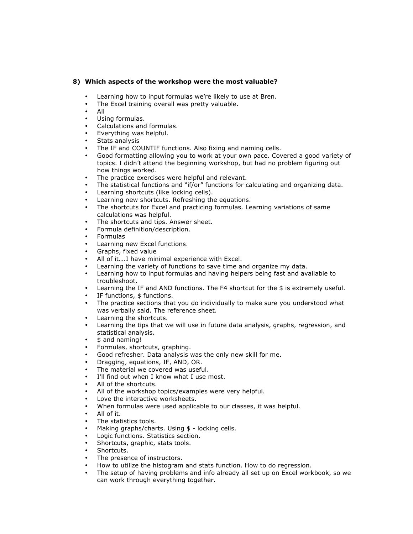#### **8) Which aspects of the workshop were the most valuable?**

- Learning how to input formulas we're likely to use at Bren.
- The Excel training overall was pretty valuable.
- All
- Using formulas.
- Calculations and formulas.
- Everything was helpful.
- Stats analysis
- The IF and COUNTIF functions. Also fixing and naming cells.
- Good formatting allowing you to work at your own pace. Covered a good variety of topics. I didn't attend the beginning workshop, but had no problem figuring out how things worked.
- The practice exercises were helpful and relevant.
- The statistical functions and "if/or" functions for calculating and organizing data.
- Learning shortcuts (like locking cells).
- Learning new shortcuts. Refreshing the equations.
- The shortcuts for Excel and practicing formulas. Learning variations of same calculations was helpful.
- The shortcuts and tips. Answer sheet.
- Formula definition/description.
- Formulas
- Learning new Excel functions.
- Graphs, fixed value
- All of it....I have minimal experience with Excel.
- Learning the variety of functions to save time and organize my data.
- Learning how to input formulas and having helpers being fast and available to troubleshoot.
- Learning the IF and AND functions. The F4 shortcut for the \$ is extremely useful.
- IF functions, \$ functions.
- The practice sections that you do individually to make sure you understood what was verbally said. The reference sheet.
- Learning the shortcuts.
- Learning the tips that we will use in future data analysis, graphs, regression, and statistical analysis.
- \$ and naming!
- Formulas, shortcuts, graphing.
- Good refresher. Data analysis was the only new skill for me.
- Dragging, equations, IF, AND, OR.
- The material we covered was useful.
- I'll find out when I know what I use most.
- All of the shortcuts.
- All of the workshop topics/examples were very helpful.
- Love the interactive worksheets.
- When formulas were used applicable to our classes, it was helpful.
- All of it.
- The statistics tools.
- Making graphs/charts. Using \$ locking cells.
- Logic functions. Statistics section.
- Shortcuts, graphic, stats tools.
- Shortcuts.
- The presence of instructors.
- How to utilize the histogram and stats function. How to do regression.
- The setup of having problems and info already all set up on Excel workbook, so we can work through everything together.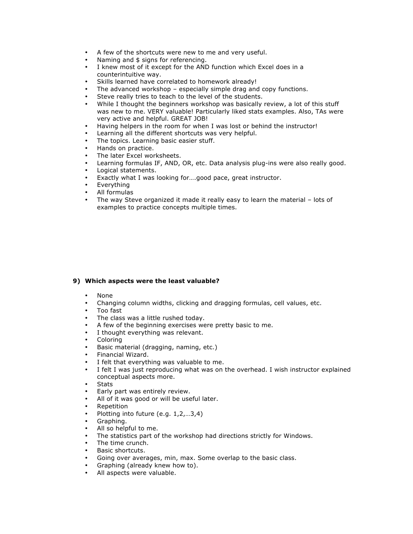- A few of the shortcuts were new to me and very useful.
- Naming and \$ signs for referencing.
- I knew most of it except for the AND function which Excel does in a counterintuitive way.
- Skills learned have correlated to homework already!
- The advanced workshop especially simple drag and copy functions.
- Steve really tries to teach to the level of the students.
- While I thought the beginners workshop was basically review, a lot of this stuff was new to me. VERY valuable! Particularly liked stats examples. Also, TAs were very active and helpful. GREAT JOB!
- Having helpers in the room for when I was lost or behind the instructor!
- Learning all the different shortcuts was very helpful.
- The topics. Learning basic easier stuff.
- Hands on practice.
- The later Excel worksheets.
- Learning formulas IF, AND, OR, etc. Data analysis plug-ins were also really good.
- Logical statements.
- Exactly what I was looking for....good pace, great instructor.
- **Everything**
- All formulas
- The way Steve organized it made it really easy to learn the material lots of examples to practice concepts multiple times.

#### **9) Which aspects were the least valuable?**

- None
- Changing column widths, clicking and dragging formulas, cell values, etc.
- Too fast
- The class was a little rushed today.
- A few of the beginning exercises were pretty basic to me.
- I thought everything was relevant.
- Coloring
- Basic material (dragging, naming, etc.)
- Financial Wizard.
- I felt that everything was valuable to me.
- I felt I was just reproducing what was on the overhead. I wish instructor explained conceptual aspects more.
- Stats
- Early part was entirely review.
- All of it was good or will be useful later.
- Repetition<br>• Plotting inf
- Plotting into future (e.g. 1,2,...3,4)
- Graphing.
- All so helpful to me.
- The statistics part of the workshop had directions strictly for Windows.
- The time crunch.
- Basic shortcuts.
- Going over averages, min, max. Some overlap to the basic class.
- Graphing (already knew how to).
- All aspects were valuable.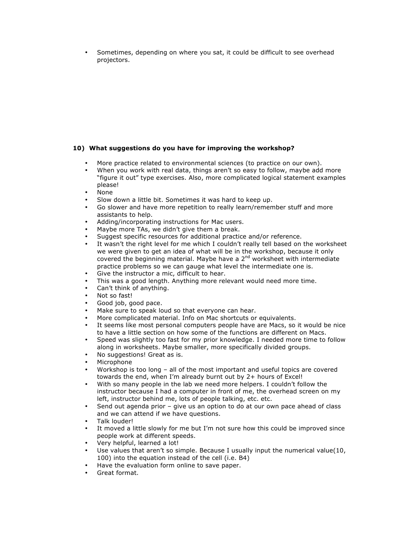• Sometimes, depending on where you sat, it could be difficult to see overhead projectors.

### **10) What suggestions do you have for improving the workshop?**

- More practice related to environmental sciences (to practice on our own).
- When you work with real data, things aren't so easy to follow, maybe add more "figure it out" type exercises. Also, more complicated logical statement examples please!
- None
- Slow down a little bit. Sometimes it was hard to keep up.<br>• Go slower and have more renetition to really learn/remement
- Go slower and have more repetition to really learn/remember stuff and more assistants to help.
- Adding/incorporating instructions for Mac users.
- Maybe more TAs, we didn't give them a break.
- Suggest specific resources for additional practice and/or reference.
- It wasn't the right level for me which I couldn't really tell based on the worksheet we were given to get an idea of what will be in the workshop, because it only covered the beginning material. Maybe have a  $2<sup>nd</sup>$  worksheet with intermediate practice problems so we can gauge what level the intermediate one is.
- Give the instructor a mic, difficult to hear.
- This was a good length. Anything more relevant would need more time.
- Can't think of anything.
- Not so fast!
- Good job, good pace.
- Make sure to speak loud so that everyone can hear.
- More complicated material. Info on Mac shortcuts or equivalents.
- It seems like most personal computers people have are Macs, so it would be nice to have a little section on how some of the functions are different on Macs.
- Speed was slightly too fast for my prior knowledge. I needed more time to follow along in worksheets. Maybe smaller, more specifically divided groups.
- No suggestions! Great as is.
- Microphone
- Workshop is too long  $-$  all of the most important and useful topics are covered towards the end, when I'm already burnt out by 2+ hours of Excel!
- With so many people in the lab we need more helpers. I couldn't follow the instructor because I had a computer in front of me, the overhead screen on my left, instructor behind me, lots of people talking, etc. etc.
- Send out agenda prior give us an option to do at our own pace ahead of class and we can attend if we have questions.
- Talk louder!
- It moved a little slowly for me but I'm not sure how this could be improved since people work at different speeds.
- Very helpful, learned a lot!
- Use values that aren't so simple. Because I usually input the numerical value(10, 100) into the equation instead of the cell (i.e. B4)
- Have the evaluation form online to save paper.
- Great format.